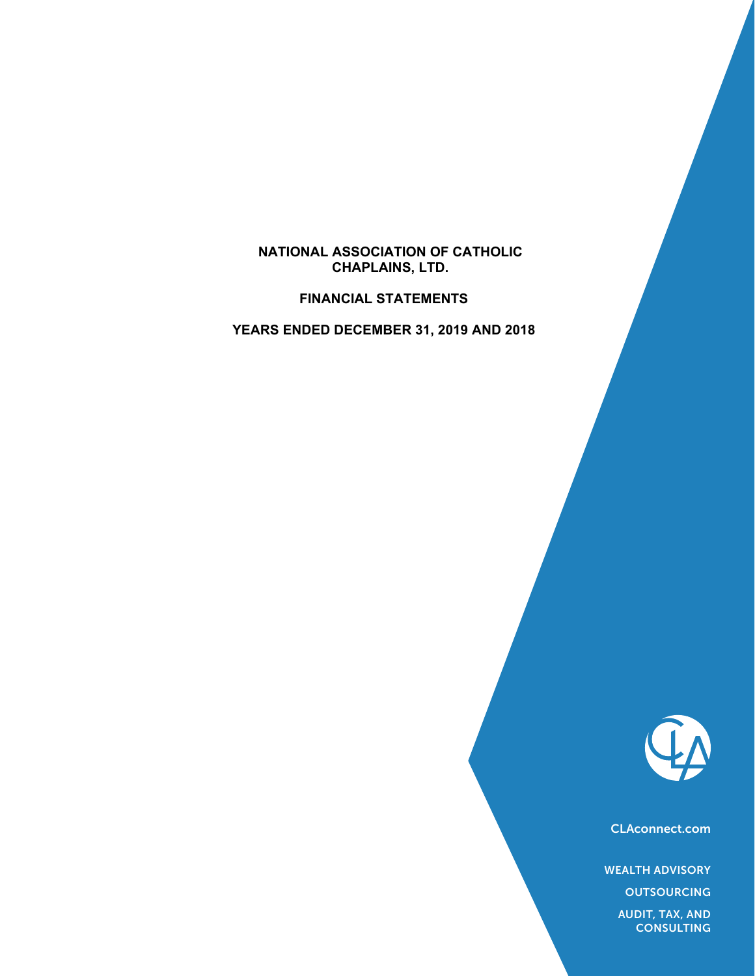## **NATIONAL ASSOCIATION OF CATHOLIC CHAPLAINS, LTD.**

**FINANCIAL STATEMENTS**

**YEARS ENDED DECEMBER 31, 2019 AND 2018**



CLAconnect.com

WEALTH ADVISORY

**OUTSOURCING** 

AUDIT, TAX, AND **CONSULTING**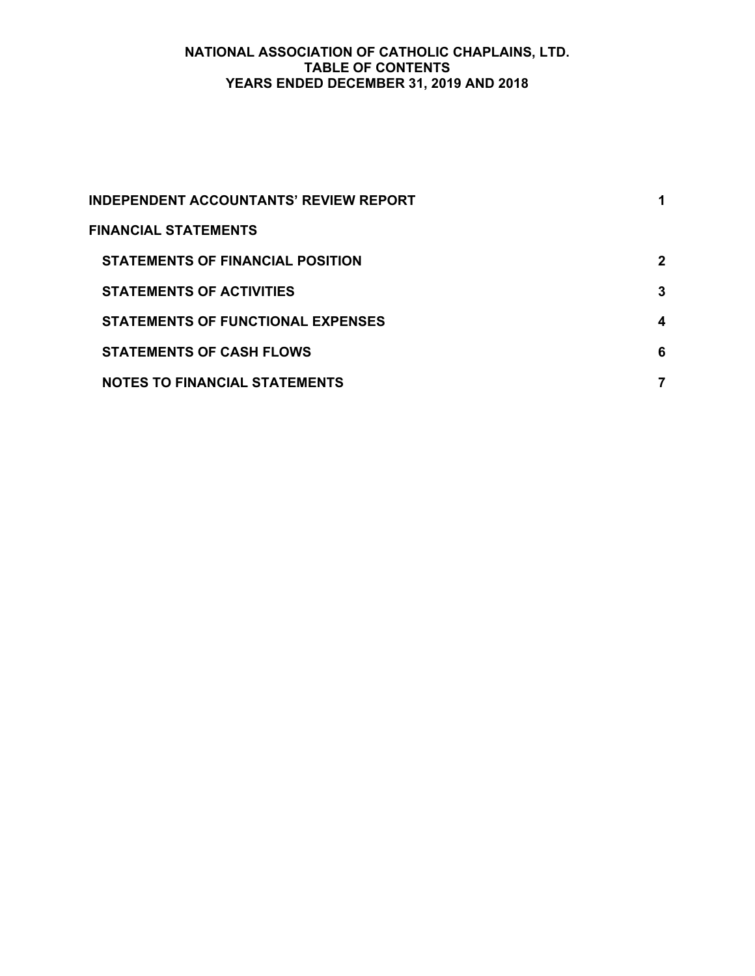## **NATIONAL ASSOCIATION OF CATHOLIC CHAPLAINS, LTD. TABLE OF CONTENTS YEARS ENDED DECEMBER 31, 2019 AND 2018**

| <b>INDEPENDENT ACCOUNTANTS' REVIEW REPORT</b> |                                          |             |  |  |  |  |
|-----------------------------------------------|------------------------------------------|-------------|--|--|--|--|
|                                               | <b>FINANCIAL STATEMENTS</b>              |             |  |  |  |  |
|                                               | <b>STATEMENTS OF FINANCIAL POSITION</b>  | $\mathbf 2$ |  |  |  |  |
|                                               | <b>STATEMENTS OF ACTIVITIES</b>          | 3           |  |  |  |  |
|                                               | <b>STATEMENTS OF FUNCTIONAL EXPENSES</b> | 4           |  |  |  |  |
|                                               | <b>STATEMENTS OF CASH FLOWS</b>          | 6           |  |  |  |  |
|                                               | <b>NOTES TO FINANCIAL STATEMENTS</b>     |             |  |  |  |  |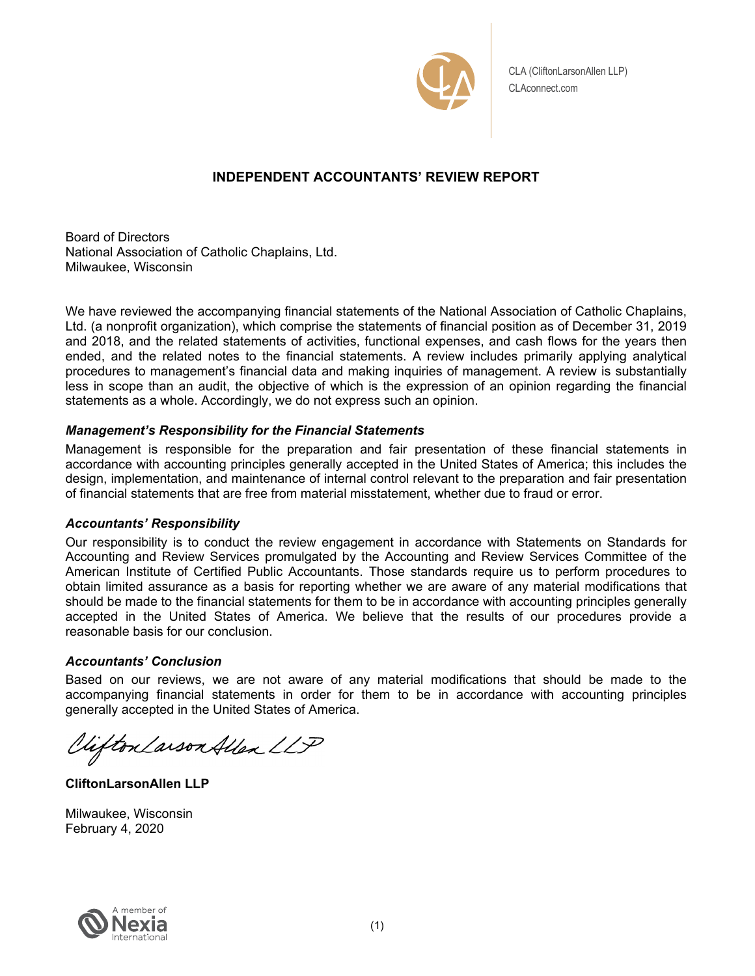

CLA (CliftonLarsonAllen LLP) CLAconnect.com

# **INDEPENDENT ACCOUNTANTS' REVIEW REPORT**

Board of Directors National Association of Catholic Chaplains, Ltd. Milwaukee, Wisconsin

We have reviewed the accompanying financial statements of the National Association of Catholic Chaplains, Ltd. (a nonprofit organization), which comprise the statements of financial position as of December 31, 2019 and 2018, and the related statements of activities, functional expenses, and cash flows for the years then ended, and the related notes to the financial statements. A review includes primarily applying analytical procedures to management's financial data and making inquiries of management. A review is substantially less in scope than an audit, the objective of which is the expression of an opinion regarding the financial statements as a whole. Accordingly, we do not express such an opinion.

## *Management's Responsibility for the Financial Statements*

Management is responsible for the preparation and fair presentation of these financial statements in accordance with accounting principles generally accepted in the United States of America; this includes the design, implementation, and maintenance of internal control relevant to the preparation and fair presentation of financial statements that are free from material misstatement, whether due to fraud or error.

## *Accountants' Responsibility*

Our responsibility is to conduct the review engagement in accordance with Statements on Standards for Accounting and Review Services promulgated by the Accounting and Review Services Committee of the American Institute of Certified Public Accountants. Those standards require us to perform procedures to obtain limited assurance as a basis for reporting whether we are aware of any material modifications that should be made to the financial statements for them to be in accordance with accounting principles generally accepted in the United States of America. We believe that the results of our procedures provide a reasonable basis for our conclusion.

## *Accountants' Conclusion*

Based on our reviews, we are not aware of any material modifications that should be made to the accompanying financial statements in order for them to be in accordance with accounting principles generally accepted in the United States of America.

Viifton Larson Allen LLP

**CliftonLarsonAllen LLP**

Milwaukee, Wisconsin February 4, 2020

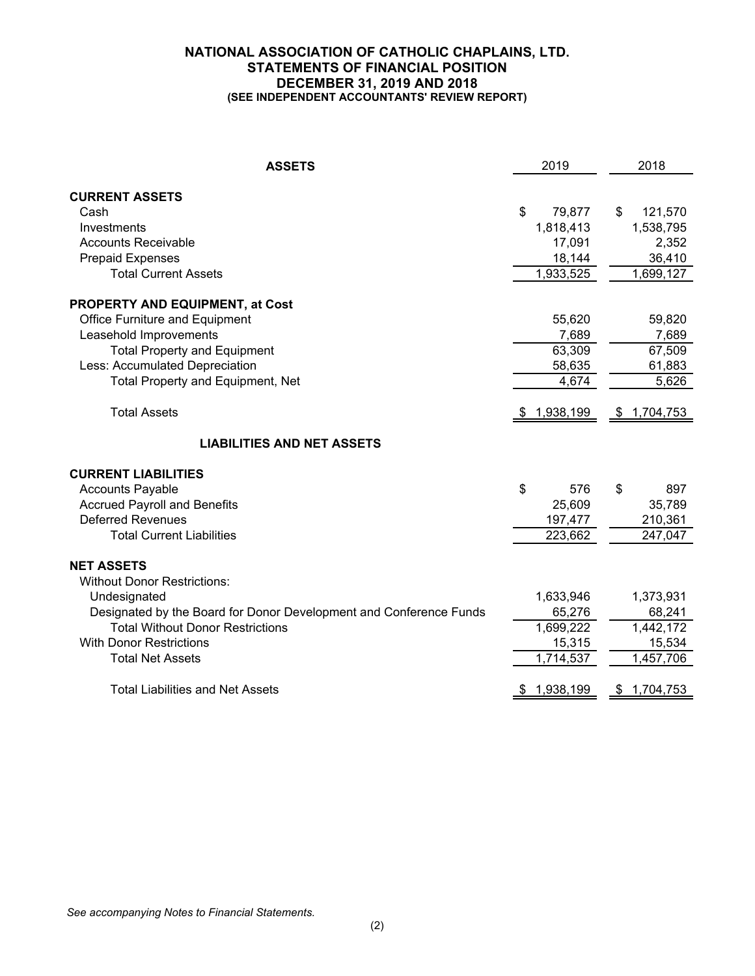| <b>ASSETS</b>                                                      | 2019            | 2018             |  |  |  |  |  |
|--------------------------------------------------------------------|-----------------|------------------|--|--|--|--|--|
|                                                                    |                 |                  |  |  |  |  |  |
| <b>CURRENT ASSETS</b>                                              |                 |                  |  |  |  |  |  |
| Cash                                                               | \$<br>79,877    | \$<br>121,570    |  |  |  |  |  |
| Investments                                                        | 1,818,413       | 1,538,795        |  |  |  |  |  |
| <b>Accounts Receivable</b>                                         | 17,091          | 2,352            |  |  |  |  |  |
| <b>Prepaid Expenses</b>                                            | 18,144          | 36,410           |  |  |  |  |  |
| <b>Total Current Assets</b>                                        | 1,933,525       | 1,699,127        |  |  |  |  |  |
| PROPERTY AND EQUIPMENT, at Cost                                    |                 |                  |  |  |  |  |  |
| <b>Office Furniture and Equipment</b>                              | 55,620          | 59,820           |  |  |  |  |  |
| Leasehold Improvements                                             | 7,689           | 7,689            |  |  |  |  |  |
| <b>Total Property and Equipment</b>                                | 63,309          | 67,509           |  |  |  |  |  |
| Less: Accumulated Depreciation                                     | 58,635          | 61,883           |  |  |  |  |  |
| Total Property and Equipment, Net                                  | 4,674           | 5,626            |  |  |  |  |  |
|                                                                    |                 |                  |  |  |  |  |  |
| <b>Total Assets</b>                                                | \$1,938,199     | 1,704,753<br>SS. |  |  |  |  |  |
| <b>LIABILITIES AND NET ASSETS</b>                                  |                 |                  |  |  |  |  |  |
| <b>CURRENT LIABILITIES</b>                                         |                 |                  |  |  |  |  |  |
| <b>Accounts Payable</b>                                            | \$<br>576       | \$<br>897        |  |  |  |  |  |
| <b>Accrued Payroll and Benefits</b>                                | 25,609          | 35,789           |  |  |  |  |  |
| <b>Deferred Revenues</b>                                           | 197,477         | 210,361          |  |  |  |  |  |
| <b>Total Current Liabilities</b>                                   | 223,662         | 247,047          |  |  |  |  |  |
| <b>NET ASSETS</b>                                                  |                 |                  |  |  |  |  |  |
| <b>Without Donor Restrictions:</b>                                 |                 |                  |  |  |  |  |  |
| Undesignated                                                       | 1,633,946       | 1,373,931        |  |  |  |  |  |
| Designated by the Board for Donor Development and Conference Funds | 65,276          | 68,241           |  |  |  |  |  |
| <b>Total Without Donor Restrictions</b>                            | 1,699,222       |                  |  |  |  |  |  |
|                                                                    |                 | 1,442,172        |  |  |  |  |  |
| <b>With Donor Restrictions</b>                                     | 15,315          | 15,534           |  |  |  |  |  |
| <b>Total Net Assets</b>                                            | 1,714,537       | 1,457,706        |  |  |  |  |  |
| <b>Total Liabilities and Net Assets</b>                            | 1,938,199<br>P. | 1,704,753<br>\$  |  |  |  |  |  |

*See accompanying Notes to Financial Statements.*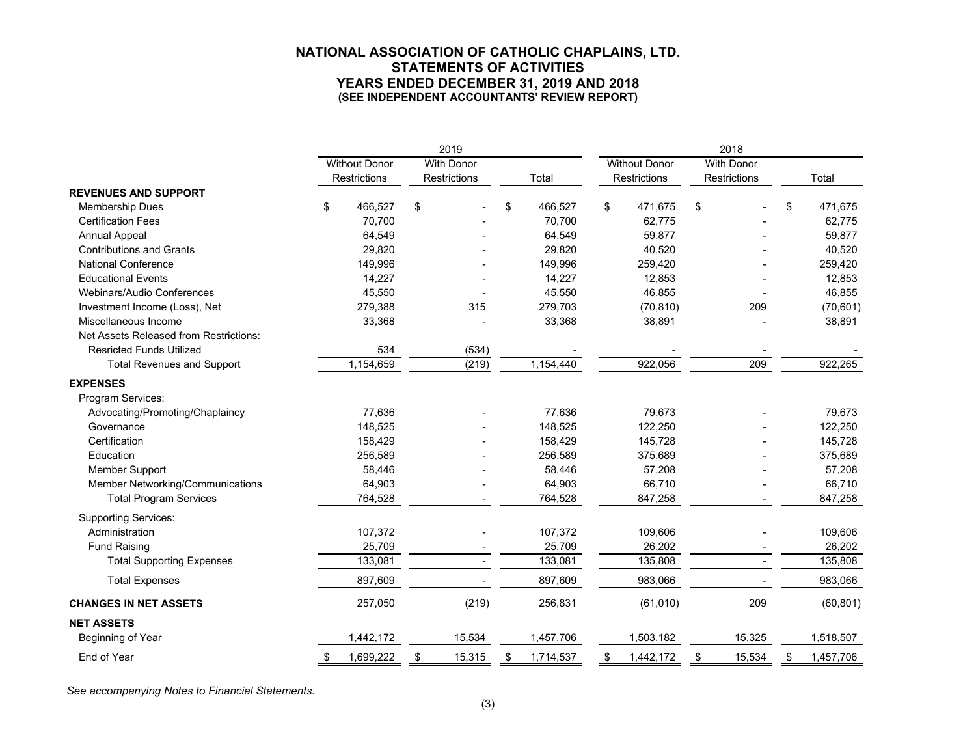### **NATIONAL ASSOCIATION OF CATHOLIC CHAPLAINS, LTD. STATEMENTS OF ACTIVITIES YEARS ENDED DECEMBER 31, 2019 AND 2018 (SEE INDEPENDENT ACCOUNTANTS' REVIEW REPORT)**

|                                        |                      | 2019 |                   |    |           | 2018 |                      |    |              |    |           |
|----------------------------------------|----------------------|------|-------------------|----|-----------|------|----------------------|----|--------------|----|-----------|
|                                        | <b>Without Donor</b> |      | <b>With Donor</b> |    |           |      | <b>Without Donor</b> |    | With Donor   |    |           |
|                                        | Restrictions         |      | Restrictions      |    | Total     |      | Restrictions         |    | Restrictions |    | Total     |
| <b>REVENUES AND SUPPORT</b>            |                      |      |                   |    |           |      |                      |    |              |    |           |
| <b>Membership Dues</b>                 | \$<br>466,527        | \$   |                   | \$ | 466,527   | \$   | 471,675              | \$ |              | \$ | 471,675   |
| <b>Certification Fees</b>              | 70,700               |      |                   |    | 70,700    |      | 62,775               |    |              |    | 62,775    |
| <b>Annual Appeal</b>                   | 64,549               |      |                   |    | 64,549    |      | 59,877               |    |              |    | 59,877    |
| <b>Contributions and Grants</b>        | 29,820               |      |                   |    | 29,820    |      | 40,520               |    |              |    | 40,520    |
| <b>National Conference</b>             | 149,996              |      |                   |    | 149.996   |      | 259,420              |    |              |    | 259,420   |
| <b>Educational Events</b>              | 14,227               |      |                   |    | 14,227    |      | 12,853               |    |              |    | 12,853    |
| Webinars/Audio Conferences             | 45,550               |      |                   |    | 45,550    |      | 46,855               |    |              |    | 46,855    |
| Investment Income (Loss), Net          | 279,388              |      | 315               |    | 279,703   |      | (70, 810)            |    | 209          |    | (70, 601) |
| Miscellaneous Income                   | 33,368               |      |                   |    | 33,368    |      | 38,891               |    |              |    | 38,891    |
| Net Assets Released from Restrictions: |                      |      |                   |    |           |      |                      |    |              |    |           |
| <b>Resricted Funds Utilized</b>        | 534                  |      | (534)             |    |           |      |                      |    |              |    |           |
| <b>Total Revenues and Support</b>      | 1,154,659            |      | (219)             |    | 1,154,440 |      | 922,056              |    | 209          |    | 922,265   |
| <b>EXPENSES</b>                        |                      |      |                   |    |           |      |                      |    |              |    |           |
| Program Services:                      |                      |      |                   |    |           |      |                      |    |              |    |           |
| Advocating/Promoting/Chaplaincy        | 77,636               |      |                   |    | 77,636    |      | 79,673               |    |              |    | 79,673    |
| Governance                             | 148,525              |      |                   |    | 148,525   |      | 122,250              |    |              |    | 122,250   |
| Certification                          | 158,429              |      |                   |    | 158,429   |      | 145,728              |    |              |    | 145,728   |
| Education                              | 256,589              |      |                   |    | 256,589   |      | 375,689              |    |              |    | 375,689   |
| Member Support                         | 58,446               |      |                   |    | 58,446    |      | 57,208               |    |              |    | 57,208    |
| Member Networking/Communications       | 64,903               |      |                   |    | 64,903    |      | 66,710               |    |              |    | 66,710    |
| <b>Total Program Services</b>          | 764,528              |      |                   |    | 764,528   |      | 847,258              |    |              |    | 847,258   |
| <b>Supporting Services:</b>            |                      |      |                   |    |           |      |                      |    |              |    |           |
| Administration                         | 107,372              |      |                   |    | 107,372   |      | 109,606              |    |              |    | 109,606   |
| <b>Fund Raising</b>                    | 25,709               |      |                   |    | 25,709    |      | 26,202               |    |              |    | 26,202    |
| <b>Total Supporting Expenses</b>       | 133,081              |      |                   |    | 133,081   |      | 135,808              |    |              |    | 135,808   |
| <b>Total Expenses</b>                  | 897,609              |      |                   |    | 897,609   |      | 983,066              |    |              |    | 983,066   |
| <b>CHANGES IN NET ASSETS</b>           | 257,050              |      | (219)             |    | 256,831   |      | (61,010)             |    | 209          |    | (60, 801) |
| <b>NET ASSETS</b>                      |                      |      |                   |    |           |      |                      |    |              |    |           |
| Beginning of Year                      | 1,442,172            |      | 15,534            |    | 1,457,706 |      | 1,503,182            |    | 15,325       |    | 1,518,507 |
| End of Year                            | \$<br>1,699,222      | S    | 15,315            | \$ | 1,714,537 | \$   | 1,442,172            | \$ | 15,534       | \$ | 1,457,706 |

*See accompanying Notes to Financial Statements.*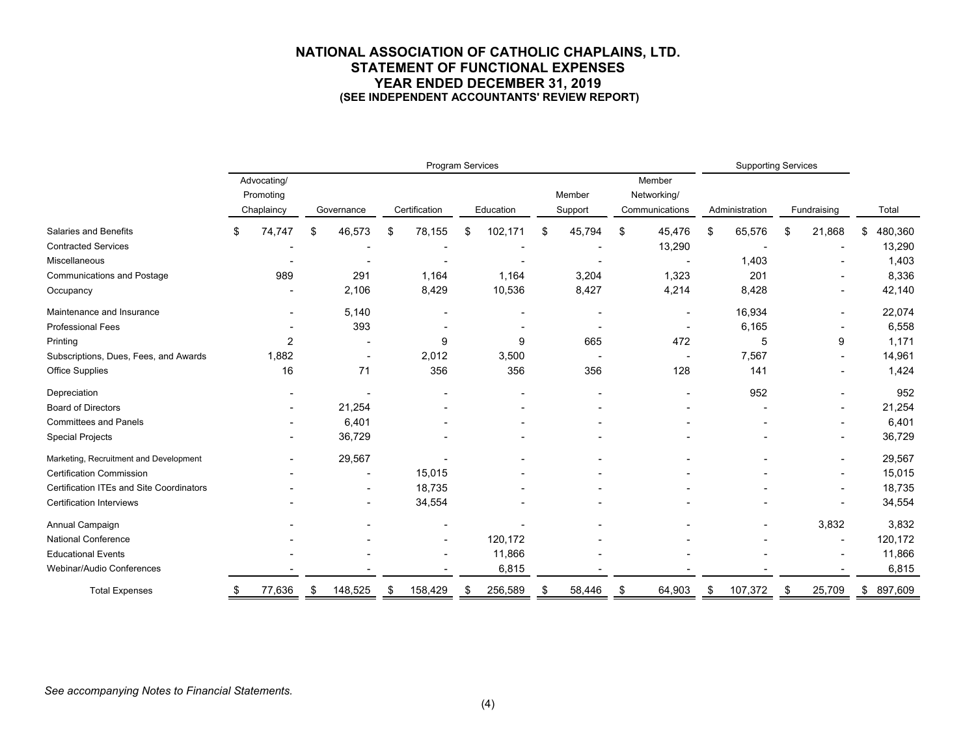### **NATIONAL ASSOCIATION OF CATHOLIC CHAPLAINS, LTD. STATEMENT OF FUNCTIONAL EXPENSES YEAR ENDED DECEMBER 31, 2019 (SEE INDEPENDENT ACCOUNTANTS' REVIEW REPORT)**

|                                          |                                        | <b>Program Services</b> |            |                          |               |                |           |         |                   |        | <b>Supporting Services</b>              |                |    |             |    |                          |               |
|------------------------------------------|----------------------------------------|-------------------------|------------|--------------------------|---------------|----------------|-----------|---------|-------------------|--------|-----------------------------------------|----------------|----|-------------|----|--------------------------|---------------|
|                                          | Advocating/<br>Promoting<br>Chaplaincy |                         | Governance |                          | Certification |                | Education |         | Member<br>Support |        | Member<br>Networking/<br>Communications | Administration |    | Fundraising |    | Total                    |               |
| Salaries and Benefits                    | \$                                     | 74,747                  | \$         | 46,573                   | \$            | 78,155         | \$        | 102,171 | \$                | 45,794 | \$                                      | 45,476         | \$ | 65,576      | \$ | 21,868                   | 480,360<br>\$ |
| <b>Contracted Services</b>               |                                        |                         |            |                          |               |                |           |         |                   |        |                                         | 13,290         |    |             |    |                          | 13,290        |
| Miscellaneous                            |                                        |                         |            |                          |               |                |           |         |                   |        |                                         |                |    | 1,403       |    |                          | 1,403         |
| <b>Communications and Postage</b>        |                                        | 989                     |            | 291                      |               | 1,164          |           | 1,164   |                   | 3,204  |                                         | 1,323          |    | 201         |    |                          | 8,336         |
| Occupancy                                |                                        |                         |            | 2,106                    |               | 8,429          |           | 10,536  |                   | 8,427  |                                         | 4,214          |    | 8,428       |    |                          | 42,140        |
| Maintenance and Insurance                |                                        |                         |            | 5,140                    |               |                |           |         |                   |        |                                         |                |    | 16,934      |    | $\overline{\phantom{a}}$ | 22,074        |
| <b>Professional Fees</b>                 |                                        |                         |            | 393                      |               |                |           |         |                   |        |                                         |                |    | 6,165       |    | $\overline{\phantom{a}}$ | 6,558         |
| Printing                                 |                                        | 2                       |            |                          |               | 9              |           | 9       |                   | 665    |                                         | 472            |    | 5           |    | 9                        | 1,171         |
| Subscriptions, Dues, Fees, and Awards    |                                        | 1,882                   |            |                          |               | 2,012          |           | 3,500   |                   |        |                                         |                |    | 7,567       |    | $\overline{\phantom{a}}$ | 14,961        |
| <b>Office Supplies</b>                   |                                        | 16                      |            | 71                       |               | 356            |           | 356     |                   | 356    |                                         | 128            |    | 141         |    | $\overline{\phantom{a}}$ | 1,424         |
| Depreciation                             |                                        |                         |            |                          |               |                |           |         |                   |        |                                         |                |    | 952         |    | $\blacksquare$           | 952           |
| <b>Board of Directors</b>                |                                        |                         |            | 21,254                   |               |                |           |         |                   |        |                                         |                |    |             |    | $\overline{\phantom{a}}$ | 21,254        |
| <b>Committees and Panels</b>             |                                        |                         |            | 6,401                    |               |                |           |         |                   |        |                                         |                |    |             |    | $\overline{\phantom{0}}$ | 6,401         |
| <b>Special Projects</b>                  |                                        |                         |            | 36,729                   |               |                |           |         |                   |        |                                         |                |    |             |    |                          | 36,729        |
| Marketing, Recruitment and Development   |                                        |                         |            | 29,567                   |               |                |           |         |                   |        |                                         |                |    |             |    | ٠                        | 29,567        |
| <b>Certification Commission</b>          |                                        |                         |            |                          |               | 15,015         |           |         |                   |        |                                         |                |    |             |    | ٠                        | 15,015        |
| Certification ITEs and Site Coordinators |                                        |                         |            |                          |               | 18,735         |           |         |                   |        |                                         |                |    |             |    | $\overline{\phantom{a}}$ | 18,735        |
| <b>Certification Interviews</b>          |                                        |                         |            | $\overline{\phantom{a}}$ |               | 34,554         |           |         |                   |        |                                         |                |    |             |    | $\overline{\phantom{a}}$ | 34,554        |
| Annual Campaign                          |                                        |                         |            |                          |               |                |           |         |                   |        |                                         |                |    |             |    | 3,832                    | 3,832         |
| <b>National Conference</b>               |                                        |                         |            |                          |               | $\blacksquare$ |           | 120,172 |                   |        |                                         |                |    |             |    | ٠                        | 120,172       |
| <b>Educational Events</b>                |                                        |                         |            |                          |               |                |           | 11,866  |                   |        |                                         |                |    |             |    |                          | 11,866        |
| Webinar/Audio Conferences                |                                        |                         |            |                          |               |                |           | 6,815   |                   |        |                                         |                |    |             |    |                          | 6,815         |
| <b>Total Expenses</b>                    | \$                                     | 77,636                  | \$         | 148,525                  | \$            | 158,429        | - \$      | 256,589 | S                 | 58,446 | -\$                                     | 64,903         | \$ | 107,372     | \$ | 25,709                   | \$ 897,609    |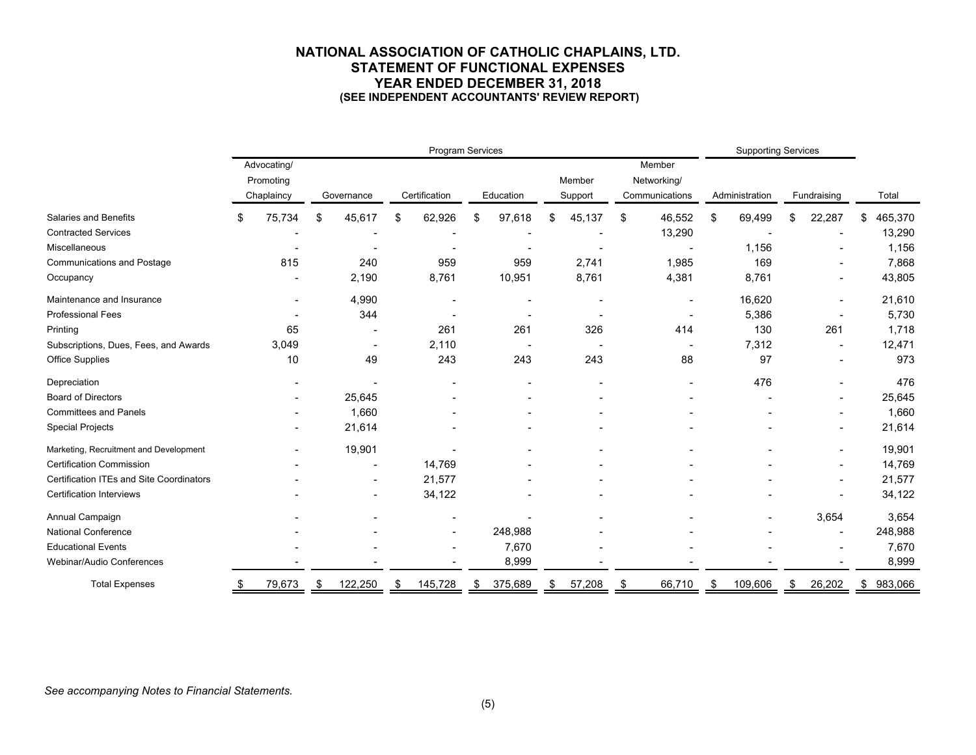### **NATIONAL ASSOCIATION OF CATHOLIC CHAPLAINS, LTD. STATEMENT OF FUNCTIONAL EXPENSES YEAR ENDED DECEMBER 31, 2018 (SEE INDEPENDENT ACCOUNTANTS' REVIEW REPORT)**

|                                          |    | <b>Program Services</b>                |    |                          |    |               |    |           |    |                   |                                         | <b>Supporting Services</b> |    |             |    |        |               |
|------------------------------------------|----|----------------------------------------|----|--------------------------|----|---------------|----|-----------|----|-------------------|-----------------------------------------|----------------------------|----|-------------|----|--------|---------------|
|                                          |    | Advocating/<br>Promoting<br>Chaplaincy |    | Governance               |    | Certification |    | Education |    | Member<br>Support | Member<br>Networking/<br>Communications | Administration             |    | Fundraising |    | Total  |               |
| Salaries and Benefits                    | S. | 75,734                                 | \$ | 45,617                   | \$ | 62,926        | \$ | 97,618    | \$ | 45,137            | \$                                      | 46,552                     | \$ | 69,499      | \$ | 22,287 | 465,370<br>\$ |
| <b>Contracted Services</b>               |    |                                        |    |                          |    |               |    |           |    |                   |                                         | 13,290                     |    |             |    |        | 13,290        |
| Miscellaneous                            |    |                                        |    |                          |    |               |    |           |    |                   |                                         |                            |    | 1,156       |    |        | 1,156         |
| <b>Communications and Postage</b>        |    | 815                                    |    | 240                      |    | 959           |    | 959       |    | 2,741             |                                         | 1,985                      |    | 169         |    |        | 7,868         |
| Occupancy                                |    |                                        |    | 2,190                    |    | 8,761         |    | 10,951    |    | 8,761             |                                         | 4,381                      |    | 8,761       |    |        | 43,805        |
| Maintenance and Insurance                |    |                                        |    | 4,990                    |    |               |    |           |    |                   |                                         |                            |    | 16,620      |    |        | 21,610        |
| <b>Professional Fees</b>                 |    |                                        |    | 344                      |    |               |    | ٠         |    |                   |                                         | $\overline{\phantom{a}}$   |    | 5,386       |    |        | 5,730         |
| Printing                                 |    | 65                                     |    |                          |    | 261           |    | 261       |    | 326               |                                         | 414                        |    | 130         |    | 261    | 1,718         |
| Subscriptions, Dues, Fees, and Awards    |    | 3,049                                  |    | $\overline{\phantom{0}}$ |    | 2,110         |    |           |    |                   |                                         |                            |    | 7,312       |    |        | 12,471        |
| <b>Office Supplies</b>                   |    | 10                                     |    | 49                       |    | 243           |    | 243       |    | 243               |                                         | 88                         |    | 97          |    |        | 973           |
| Depreciation                             |    |                                        |    |                          |    |               |    |           |    |                   |                                         |                            |    | 476         |    |        | 476           |
| <b>Board of Directors</b>                |    |                                        |    | 25,645                   |    |               |    |           |    |                   |                                         |                            |    |             |    |        | 25,645        |
| <b>Committees and Panels</b>             |    |                                        |    | 1,660                    |    |               |    |           |    |                   |                                         |                            |    |             |    |        | 1,660         |
| <b>Special Projects</b>                  |    |                                        |    | 21,614                   |    |               |    |           |    |                   |                                         |                            |    |             |    |        | 21,614        |
| Marketing, Recruitment and Development   |    |                                        |    | 19,901                   |    |               |    |           |    |                   |                                         |                            |    |             |    |        | 19,901        |
| <b>Certification Commission</b>          |    |                                        |    |                          |    | 14,769        |    |           |    |                   |                                         |                            |    |             |    |        | 14,769        |
| Certification ITEs and Site Coordinators |    |                                        |    |                          |    | 21,577        |    |           |    |                   |                                         |                            |    |             |    |        | 21,577        |
| <b>Certification Interviews</b>          |    |                                        |    |                          |    | 34,122        |    |           |    |                   |                                         |                            |    |             |    |        | 34,122        |
| Annual Campaign                          |    |                                        |    |                          |    |               |    |           |    |                   |                                         |                            |    |             |    | 3,654  | 3,654         |
| <b>National Conference</b>               |    |                                        |    |                          |    |               |    | 248,988   |    |                   |                                         |                            |    |             |    |        | 248,988       |
| <b>Educational Events</b>                |    |                                        |    |                          |    |               |    | 7,670     |    |                   |                                         |                            |    |             |    |        | 7,670         |
| Webinar/Audio Conferences                |    |                                        |    |                          |    |               |    | 8,999     |    |                   |                                         |                            |    |             |    |        | 8,999         |
| <b>Total Expenses</b>                    | \$ | 79,673                                 | \$ | 122,250                  | \$ | 145,728       | \$ | 375,689   | S. | 57,208            | \$                                      | 66,710                     | \$ | 109,606     | \$ | 26,202 | 983,066<br>\$ |

*See accompanying Notes to Financial Statements.*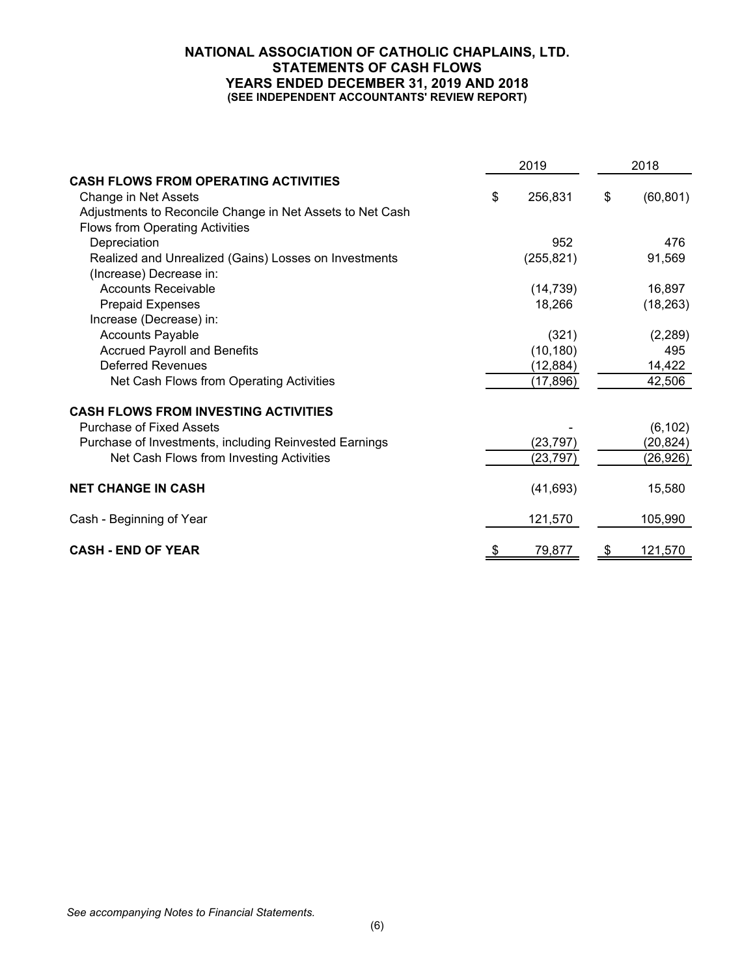### **NATIONAL ASSOCIATION OF CATHOLIC CHAPLAINS, LTD. STATEMENTS OF CASH FLOWS YEARS ENDED DECEMBER 31, 2019 AND 2018 (SEE INDEPENDENT ACCOUNTANTS' REVIEW REPORT)**

|                                                           | 2019          | 2018            |
|-----------------------------------------------------------|---------------|-----------------|
| <b>CASH FLOWS FROM OPERATING ACTIVITIES</b>               |               |                 |
| Change in Net Assets                                      | \$<br>256,831 | \$<br>(60, 801) |
| Adjustments to Reconcile Change in Net Assets to Net Cash |               |                 |
| Flows from Operating Activities                           |               |                 |
| Depreciation                                              | 952           | 476             |
| Realized and Unrealized (Gains) Losses on Investments     | (255, 821)    | 91,569          |
| (Increase) Decrease in:                                   |               |                 |
| <b>Accounts Receivable</b>                                | (14, 739)     | 16,897          |
| <b>Prepaid Expenses</b>                                   | 18,266        | (18, 263)       |
| Increase (Decrease) in:                                   |               |                 |
| <b>Accounts Payable</b>                                   | (321)         | (2, 289)        |
| <b>Accrued Payroll and Benefits</b>                       | (10, 180)     | 495             |
| <b>Deferred Revenues</b>                                  | (12, 884)     | 14,422          |
| Net Cash Flows from Operating Activities                  | (17, 896)     | 42,506          |
| <b>CASH FLOWS FROM INVESTING ACTIVITIES</b>               |               |                 |
| <b>Purchase of Fixed Assets</b>                           |               | (6, 102)        |
| Purchase of Investments, including Reinvested Earnings    | (23, 797)     | (20, 824)       |
| Net Cash Flows from Investing Activities                  | (23, 797)     | (26,926)        |
| <b>NET CHANGE IN CASH</b>                                 | (41, 693)     | 15,580          |
| Cash - Beginning of Year                                  | 121,570       | 105,990         |
| <b>CASH - END OF YEAR</b>                                 | 79,877        | \$<br>121,570   |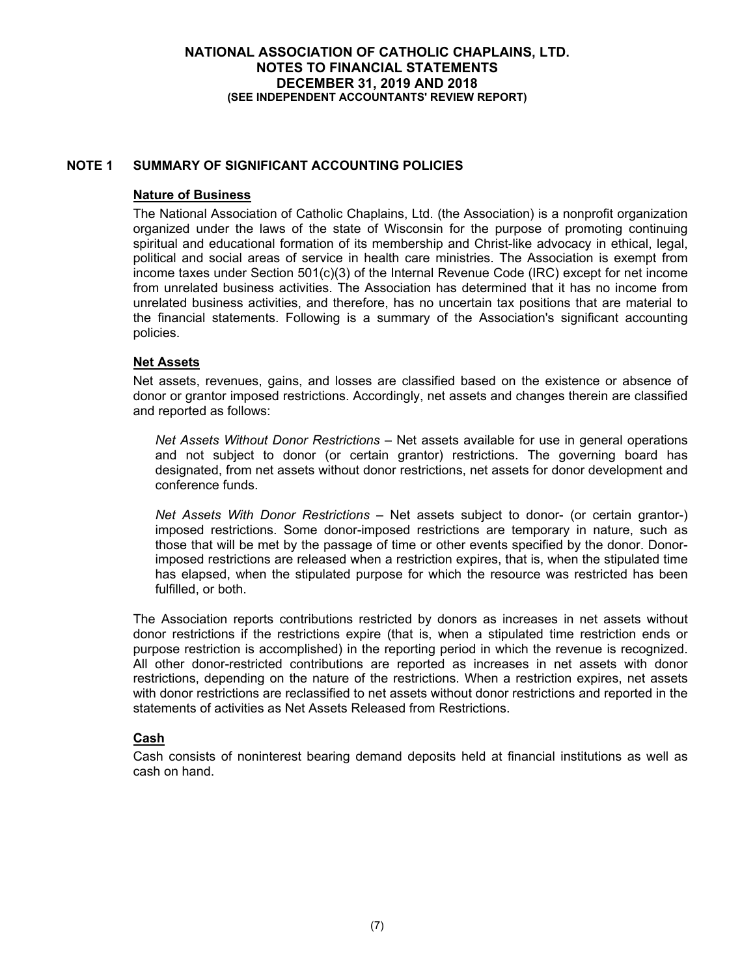### **NOTE 1 SUMMARY OF SIGNIFICANT ACCOUNTING POLICIES**

#### **Nature of Business**

The National Association of Catholic Chaplains, Ltd. (the Association) is a nonprofit organization organized under the laws of the state of Wisconsin for the purpose of promoting continuing spiritual and educational formation of its membership and Christ-like advocacy in ethical, legal, political and social areas of service in health care ministries. The Association is exempt from income taxes under Section 501(c)(3) of the Internal Revenue Code (IRC) except for net income from unrelated business activities. The Association has determined that it has no income from unrelated business activities, and therefore, has no uncertain tax positions that are material to the financial statements. Following is a summary of the Association's significant accounting policies.

### **Net Assets**

Net assets, revenues, gains, and losses are classified based on the existence or absence of donor or grantor imposed restrictions. Accordingly, net assets and changes therein are classified and reported as follows:

*Net Assets Without Donor Restrictions* – Net assets available for use in general operations and not subject to donor (or certain grantor) restrictions. The governing board has designated, from net assets without donor restrictions, net assets for donor development and conference funds.

*Net Assets With Donor Restrictions* – Net assets subject to donor- (or certain grantor-) imposed restrictions. Some donor-imposed restrictions are temporary in nature, such as those that will be met by the passage of time or other events specified by the donor. Donorimposed restrictions are released when a restriction expires, that is, when the stipulated time has elapsed, when the stipulated purpose for which the resource was restricted has been fulfilled, or both.

The Association reports contributions restricted by donors as increases in net assets without donor restrictions if the restrictions expire (that is, when a stipulated time restriction ends or purpose restriction is accomplished) in the reporting period in which the revenue is recognized. All other donor-restricted contributions are reported as increases in net assets with donor restrictions, depending on the nature of the restrictions. When a restriction expires, net assets with donor restrictions are reclassified to net assets without donor restrictions and reported in the statements of activities as Net Assets Released from Restrictions.

### **Cash**

Cash consists of noninterest bearing demand deposits held at financial institutions as well as cash on hand.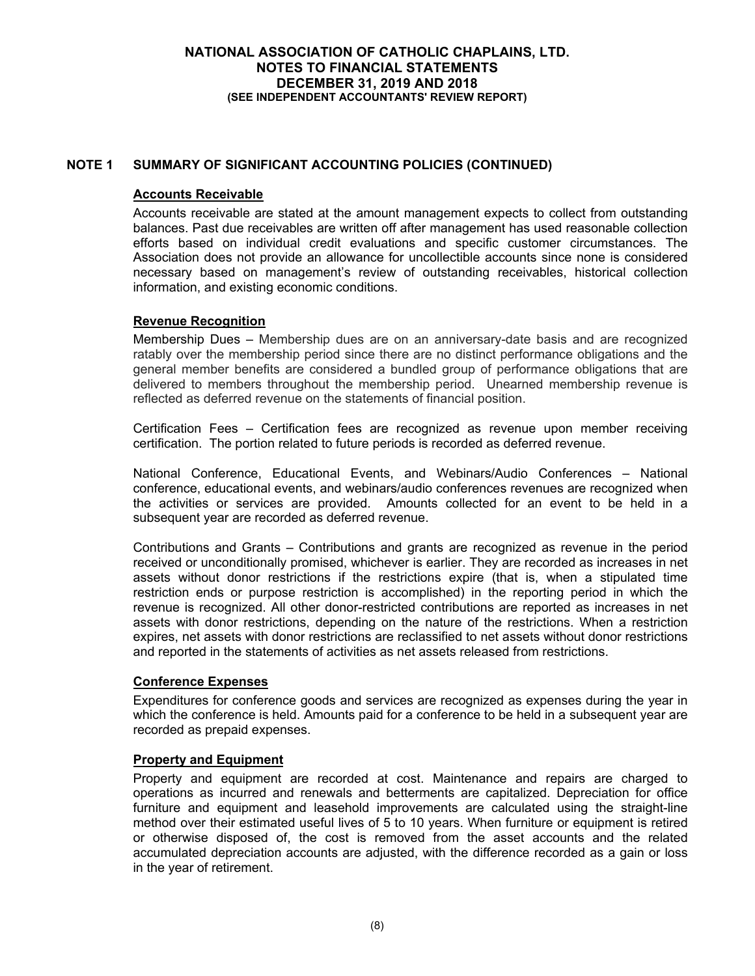### **NOTE 1 SUMMARY OF SIGNIFICANT ACCOUNTING POLICIES (CONTINUED)**

#### **Accounts Receivable**

Accounts receivable are stated at the amount management expects to collect from outstanding balances. Past due receivables are written off after management has used reasonable collection efforts based on individual credit evaluations and specific customer circumstances. The Association does not provide an allowance for uncollectible accounts since none is considered necessary based on management's review of outstanding receivables, historical collection information, and existing economic conditions.

#### **Revenue Recognition**

Membership Dues – Membership dues are on an anniversary-date basis and are recognized ratably over the membership period since there are no distinct performance obligations and the general member benefits are considered a bundled group of performance obligations that are delivered to members throughout the membership period. Unearned membership revenue is reflected as deferred revenue on the statements of financial position.

Certification Fees – Certification fees are recognized as revenue upon member receiving certification. The portion related to future periods is recorded as deferred revenue.

National Conference, Educational Events, and Webinars/Audio Conferences – National conference, educational events, and webinars/audio conferences revenues are recognized when the activities or services are provided. Amounts collected for an event to be held in a subsequent year are recorded as deferred revenue.

Contributions and Grants – Contributions and grants are recognized as revenue in the period received or unconditionally promised, whichever is earlier. They are recorded as increases in net assets without donor restrictions if the restrictions expire (that is, when a stipulated time restriction ends or purpose restriction is accomplished) in the reporting period in which the revenue is recognized. All other donor-restricted contributions are reported as increases in net assets with donor restrictions, depending on the nature of the restrictions. When a restriction expires, net assets with donor restrictions are reclassified to net assets without donor restrictions and reported in the statements of activities as net assets released from restrictions.

#### **Conference Expenses**

Expenditures for conference goods and services are recognized as expenses during the year in which the conference is held. Amounts paid for a conference to be held in a subsequent year are recorded as prepaid expenses.

#### **Property and Equipment**

Property and equipment are recorded at cost. Maintenance and repairs are charged to operations as incurred and renewals and betterments are capitalized. Depreciation for office furniture and equipment and leasehold improvements are calculated using the straight-line method over their estimated useful lives of 5 to 10 years. When furniture or equipment is retired or otherwise disposed of, the cost is removed from the asset accounts and the related accumulated depreciation accounts are adjusted, with the difference recorded as a gain or loss in the year of retirement.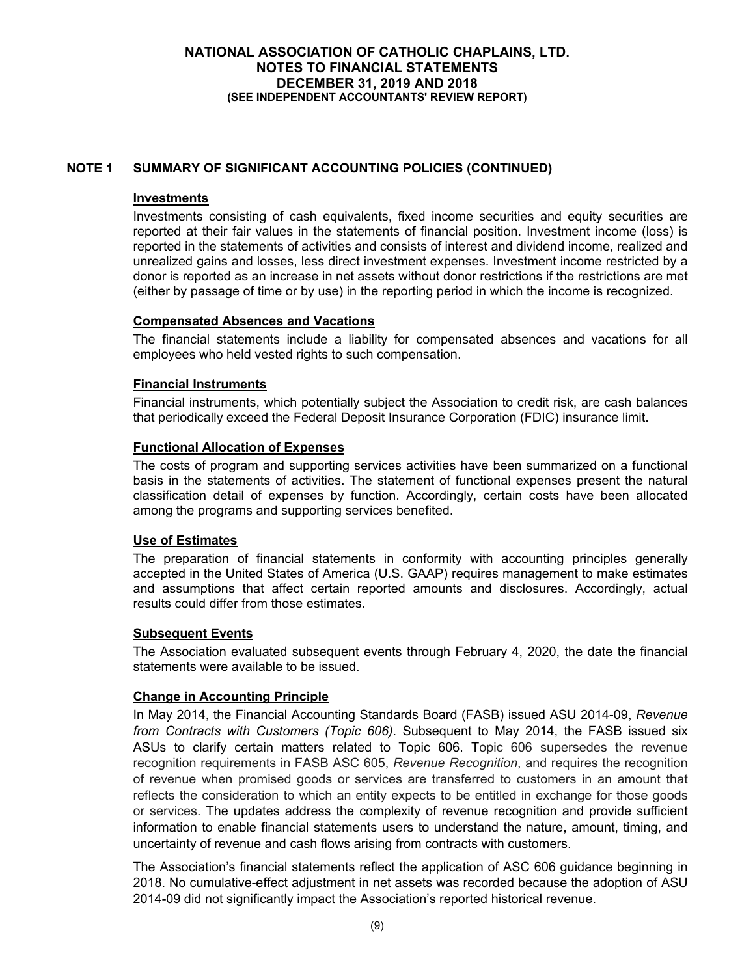## **NOTE 1 SUMMARY OF SIGNIFICANT ACCOUNTING POLICIES (CONTINUED)**

#### **Investments**

Investments consisting of cash equivalents, fixed income securities and equity securities are reported at their fair values in the statements of financial position. Investment income (loss) is reported in the statements of activities and consists of interest and dividend income, realized and unrealized gains and losses, less direct investment expenses. Investment income restricted by a donor is reported as an increase in net assets without donor restrictions if the restrictions are met (either by passage of time or by use) in the reporting period in which the income is recognized.

### **Compensated Absences and Vacations**

The financial statements include a liability for compensated absences and vacations for all employees who held vested rights to such compensation.

### **Financial Instruments**

Financial instruments, which potentially subject the Association to credit risk, are cash balances that periodically exceed the Federal Deposit Insurance Corporation (FDIC) insurance limit.

### **Functional Allocation of Expenses**

The costs of program and supporting services activities have been summarized on a functional basis in the statements of activities. The statement of functional expenses present the natural classification detail of expenses by function. Accordingly, certain costs have been allocated among the programs and supporting services benefited.

#### **Use of Estimates**

The preparation of financial statements in conformity with accounting principles generally accepted in the United States of America (U.S. GAAP) requires management to make estimates and assumptions that affect certain reported amounts and disclosures. Accordingly, actual results could differ from those estimates.

#### **Subsequent Events**

The Association evaluated subsequent events through February 4, 2020, the date the financial statements were available to be issued.

### **Change in Accounting Principle**

In May 2014, the Financial Accounting Standards Board (FASB) issued ASU 2014-09, *Revenue from Contracts with Customers (Topic 606)*. Subsequent to May 2014, the FASB issued six ASUs to clarify certain matters related to Topic 606. Topic 606 supersedes the revenue recognition requirements in FASB ASC 605, *Revenue Recognition*, and requires the recognition of revenue when promised goods or services are transferred to customers in an amount that reflects the consideration to which an entity expects to be entitled in exchange for those goods or services. The updates address the complexity of revenue recognition and provide sufficient information to enable financial statements users to understand the nature, amount, timing, and uncertainty of revenue and cash flows arising from contracts with customers.

The Association's financial statements reflect the application of ASC 606 guidance beginning in 2018. No cumulative-effect adjustment in net assets was recorded because the adoption of ASU 2014-09 did not significantly impact the Association's reported historical revenue.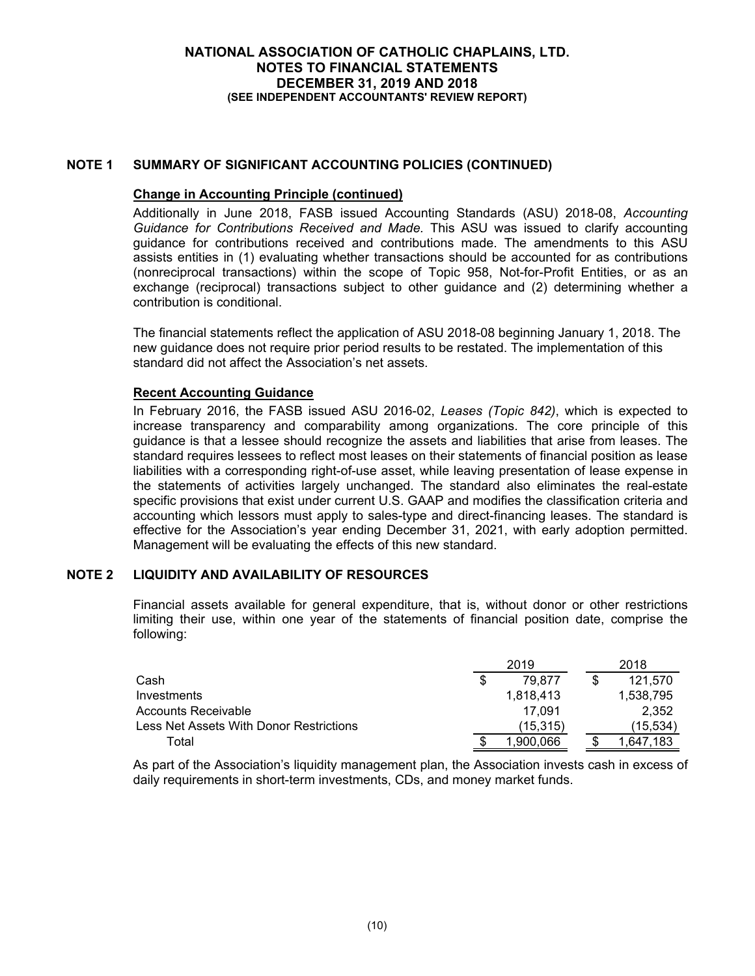### **NOTE 1 SUMMARY OF SIGNIFICANT ACCOUNTING POLICIES (CONTINUED)**

#### **Change in Accounting Principle (continued)**

Additionally in June 2018, FASB issued Accounting Standards (ASU) 2018-08, *Accounting Guidance for Contributions Received and Made.* This ASU was issued to clarify accounting guidance for contributions received and contributions made. The amendments to this ASU assists entities in (1) evaluating whether transactions should be accounted for as contributions (nonreciprocal transactions) within the scope of Topic 958, Not-for-Profit Entities, or as an exchange (reciprocal) transactions subject to other guidance and (2) determining whether a contribution is conditional.

The financial statements reflect the application of ASU 2018-08 beginning January 1, 2018. The new guidance does not require prior period results to be restated. The implementation of this standard did not affect the Association's net assets.

### **Recent Accounting Guidance**

In February 2016, the FASB issued ASU 2016-02, *Leases (Topic 842)*, which is expected to increase transparency and comparability among organizations. The core principle of this guidance is that a lessee should recognize the assets and liabilities that arise from leases. The standard requires lessees to reflect most leases on their statements of financial position as lease liabilities with a corresponding right-of-use asset, while leaving presentation of lease expense in the statements of activities largely unchanged. The standard also eliminates the real-estate specific provisions that exist under current U.S. GAAP and modifies the classification criteria and accounting which lessors must apply to sales-type and direct-financing leases. The standard is effective for the Association's year ending December 31, 2021, with early adoption permitted. Management will be evaluating the effects of this new standard.

#### **NOTE 2 LIQUIDITY AND AVAILABILITY OF RESOURCES**

Financial assets available for general expenditure, that is, without donor or other restrictions limiting their use, within one year of the statements of financial position date, comprise the following:

|                                         | 2019 |           | 2018      |
|-----------------------------------------|------|-----------|-----------|
| Cash                                    |      | 79.877    | 121.570   |
| Investments                             |      | 1,818,413 | 1,538,795 |
| Accounts Receivable                     |      | 17.091    | 2.352     |
| Less Net Assets With Donor Restrictions |      | (15.315)  | (15.534)  |
| Гоtal                                   |      | .900.066  | .647.183  |

As part of the Association's liquidity management plan, the Association invests cash in excess of daily requirements in short-term investments, CDs, and money market funds.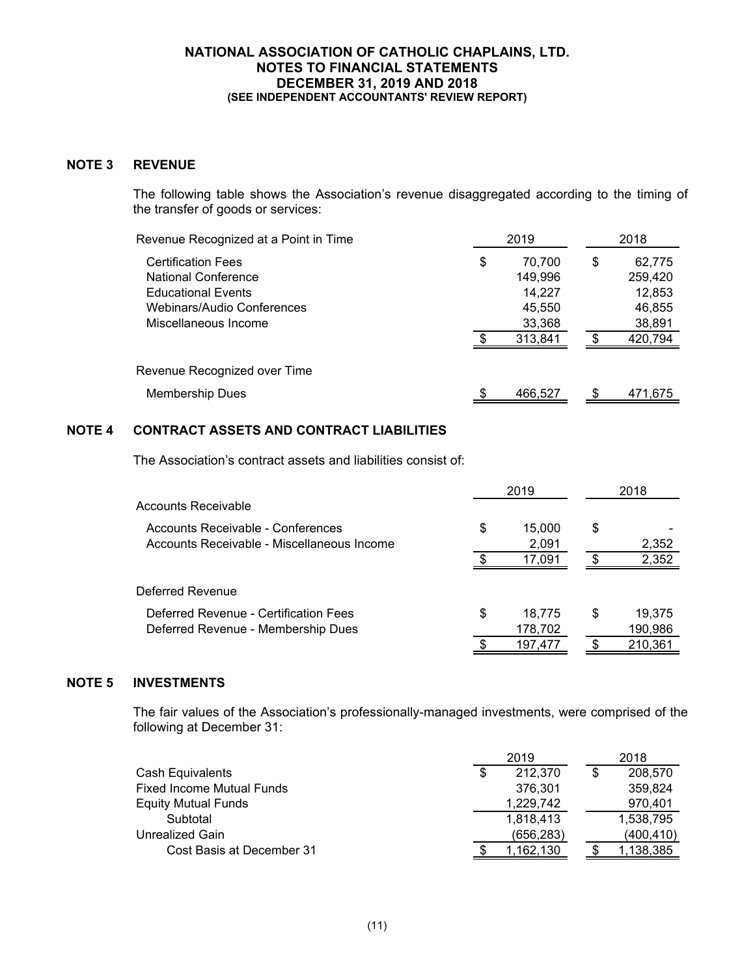### **NOTE 3 REVENUE**

The following table shows the Association's revenue disaggregated according to the timing of the transfer of goods or services:

| Revenue Recognized at a Point in Time | 2019         | 2018         |
|---------------------------------------|--------------|--------------|
| <b>Certification Fees</b>             | \$<br>70,700 | \$<br>62,775 |
| <b>National Conference</b>            | 149,996      | 259,420      |
| <b>Educational Events</b>             | 14,227       | 12,853       |
| Webinars/Audio Conferences            | 45,550       | 46,855       |
| Miscellaneous Income                  | 33,368       | 38,891       |
|                                       | 313,841      | 420,794      |
| Revenue Recognized over Time          |              |              |
| <b>Membership Dues</b>                | 466,527      | 471,675      |

## **NOTE 4 CONTRACT ASSETS AND CONTRACT LIABILITIES**

The Association's contract assets and liabilities consist of:

|                                            |    | 2019    |    | 2018    |
|--------------------------------------------|----|---------|----|---------|
| Accounts Receivable                        |    |         |    |         |
| Accounts Receivable - Conferences          | \$ | 15,000  | \$ |         |
| Accounts Receivable - Miscellaneous Income |    | 2,091   |    | 2,352   |
|                                            |    | 17,091  |    | 2,352   |
|                                            |    |         |    |         |
| Deferred Revenue                           |    |         |    |         |
| Deferred Revenue - Certification Fees      | S  | 18,775  | S  | 19.375  |
| Deferred Revenue - Membership Dues         |    | 178,702 |    | 190,986 |
|                                            |    | 197.477 |    | 210.361 |

## **NOTE 5 INVESTMENTS**

The fair values of the Association's professionally-managed investments, were comprised of the following at December 31:

|                                  | 2019      |   | 2018      |
|----------------------------------|-----------|---|-----------|
| Cash Equivalents                 | 212,370   | S | 208,570   |
| <b>Fixed Income Mutual Funds</b> | 376,301   |   | 359,824   |
| <b>Equity Mutual Funds</b>       | 1,229,742 |   | 970,401   |
| Subtotal                         | 1.818.413 |   | 1,538,795 |
| Unrealized Gain                  | (656,283) |   | (400,410) |
| Cost Basis at December 31        | 1.162.130 |   | 1,138,385 |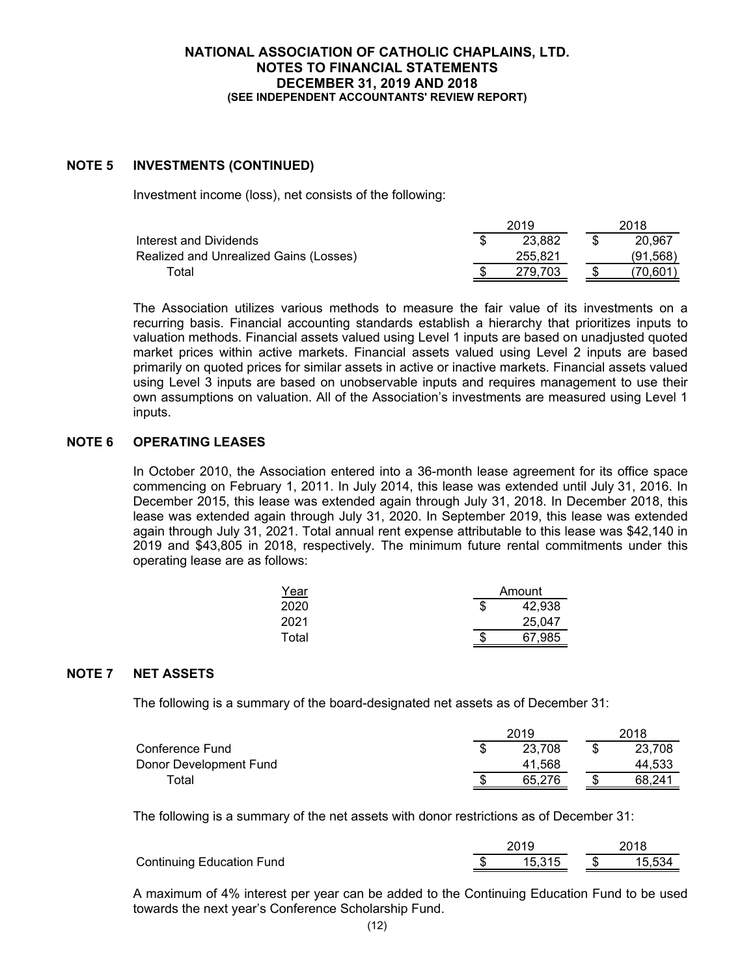### **NOTE 5 INVESTMENTS (CONTINUED)**

Investment income (loss), net consists of the following:

|                                        | 2019    | 2018     |
|----------------------------------------|---------|----------|
| Interest and Dividends                 | 23.882  | 20.967   |
| Realized and Unrealized Gains (Losses) | 255.821 | (91.568) |
| Γotal                                  | 279.703 | (70.601) |

The Association utilizes various methods to measure the fair value of its investments on a recurring basis. Financial accounting standards establish a hierarchy that prioritizes inputs to valuation methods. Financial assets valued using Level 1 inputs are based on unadjusted quoted market prices within active markets. Financial assets valued using Level 2 inputs are based primarily on quoted prices for similar assets in active or inactive markets. Financial assets valued using Level 3 inputs are based on unobservable inputs and requires management to use their own assumptions on valuation. All of the Association's investments are measured using Level 1 inputs.

#### **NOTE 6 OPERATING LEASES**

In October 2010, the Association entered into a 36-month lease agreement for its office space commencing on February 1, 2011. In July 2014, this lease was extended until July 31, 2016. In December 2015, this lease was extended again through July 31, 2018. In December 2018, this lease was extended again through July 31, 2020. In September 2019, this lease was extended again through July 31, 2021. Total annual rent expense attributable to this lease was \$42,140 in 2019 and \$43,805 in 2018, respectively. The minimum future rental commitments under this operating lease are as follows:

| Year  |    | Amount |  |  |  |  |
|-------|----|--------|--|--|--|--|
| 2020  | \$ | 42,938 |  |  |  |  |
| 2021  |    | 25,047 |  |  |  |  |
| Total | æ  | 67.985 |  |  |  |  |

### **NOTE 7 NET ASSETS**

The following is a summary of the board-designated net assets as of December 31:

|                        | 2019   |  | 2018   |  |
|------------------------|--------|--|--------|--|
| Conference Fund        | 23,708 |  | 23,708 |  |
| Donor Development Fund | 41.568 |  | 44.533 |  |
| Total                  | 65.276 |  | 68.241 |  |

The following is a summary of the net assets with donor restrictions as of December 31:

|                                  | 2N 1 C |  | 2018   |  |
|----------------------------------|--------|--|--------|--|
| <b>Continuing Education Fund</b> |        |  | 15 534 |  |

A maximum of 4% interest per year can be added to the Continuing Education Fund to be used towards the next year's Conference Scholarship Fund.